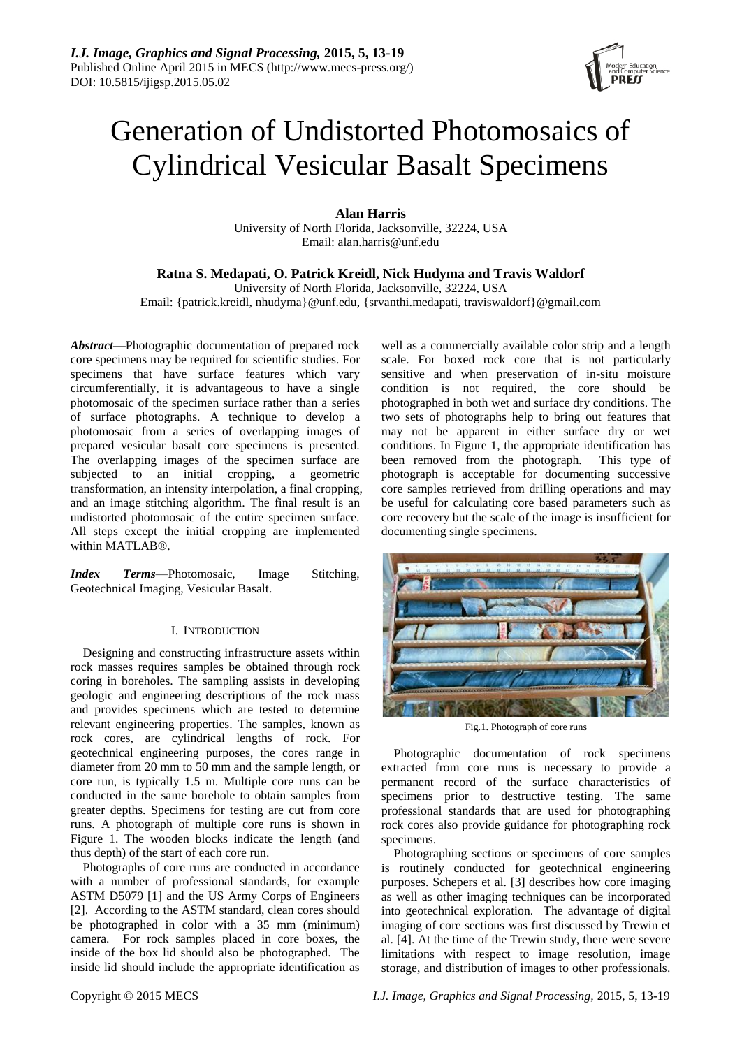

# Generation of Undistorted Photomosaics of Cylindrical Vesicular Basalt Specimens

**Alan Harris**

University of North Florida, Jacksonville, 32224, USA Email: alan.harris@unf.edu

# **Ratna S. Medapati, O. Patrick Kreidl, Nick Hudyma and Travis Waldorf**

University of North Florida, Jacksonville, 32224, USA Email: {patrick.kreidl, nhudyma}@unf.edu, {srvanthi.medapati, traviswaldorf}@gmail.com

*Abstract*—Photographic documentation of prepared rock core specimens may be required for scientific studies. For specimens that have surface features which vary circumferentially, it is advantageous to have a single photomosaic of the specimen surface rather than a series of surface photographs. A technique to develop a photomosaic from a series of overlapping images of prepared vesicular basalt core specimens is presented. The overlapping images of the specimen surface are subjected to an initial cropping, a geometric transformation, an intensity interpolation, a final cropping, and an image stitching algorithm. The final result is an undistorted photomosaic of the entire specimen surface. All steps except the initial cropping are implemented within MATLAB®.

*Index Terms*—Photomosaic, Image Stitching, Geotechnical Imaging, Vesicular Basalt.

## I. INTRODUCTION

Designing and constructing infrastructure assets within rock masses requires samples be obtained through rock coring in boreholes. The sampling assists in developing geologic and engineering descriptions of the rock mass and provides specimens which are tested to determine relevant engineering properties. The samples, known as rock cores, are cylindrical lengths of rock. For geotechnical engineering purposes, the cores range in diameter from 20 mm to 50 mm and the sample length, or core run, is typically 1.5 m. Multiple core runs can be conducted in the same borehole to obtain samples from greater depths. Specimens for testing are cut from core runs. A photograph of multiple core runs is shown in Figure 1. The wooden blocks indicate the length (and thus depth) of the start of each core run.

Photographs of core runs are conducted in accordance with a number of professional standards, for example ASTM D5079 [1] and the US Army Corps of Engineers [2]. According to the ASTM standard, clean cores should be photographed in color with a 35 mm (minimum) camera. For rock samples placed in core boxes, the inside of the box lid should also be photographed. The inside lid should include the appropriate identification as

well as a commercially available color strip and a length scale. For boxed rock core that is not particularly sensitive and when preservation of in-situ moisture condition is not required, the core should be photographed in both wet and surface dry conditions. The two sets of photographs help to bring out features that may not be apparent in either surface dry or wet conditions. In Figure 1, the appropriate identification has been removed from the photograph. This type of photograph is acceptable for documenting successive core samples retrieved from drilling operations and may be useful for calculating core based parameters such as core recovery but the scale of the image is insufficient for documenting single specimens.



Fig.1. Photograph of core runs

Photographic documentation of rock specimens extracted from core runs is necessary to provide a permanent record of the surface characteristics of specimens prior to destructive testing. The same professional standards that are used for photographing rock cores also provide guidance for photographing rock specimens.

Photographing sections or specimens of core samples is routinely conducted for geotechnical engineering purposes. Schepers et al. [3] describes how core imaging as well as other imaging techniques can be incorporated into geotechnical exploration. The advantage of digital imaging of core sections was first discussed by Trewin et al. [4]. At the time of the Trewin study, there were severe limitations with respect to image resolution, image storage, and distribution of images to other professionals.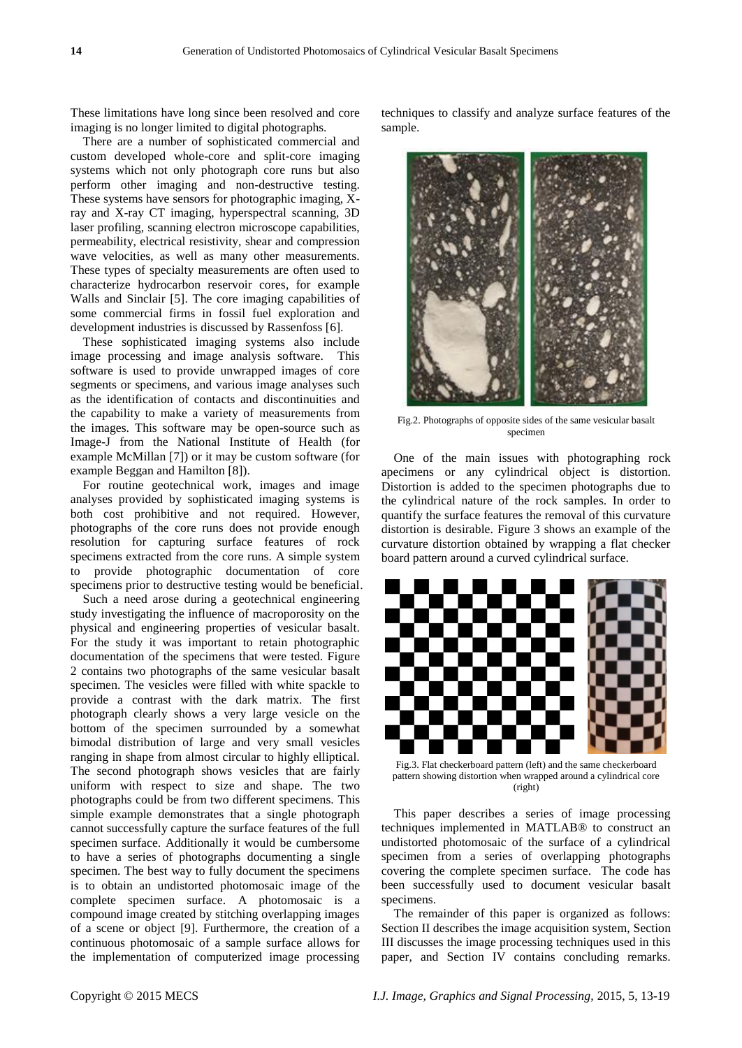These limitations have long since been resolved and core imaging is no longer limited to digital photographs.

There are a number of sophisticated commercial and custom developed whole-core and split-core imaging systems which not only photograph core runs but also perform other imaging and non-destructive testing. These systems have sensors for photographic imaging, Xray and X-ray CT imaging, hyperspectral scanning, 3D laser profiling, scanning electron microscope capabilities, permeability, electrical resistivity, shear and compression wave velocities, as well as many other measurements. These types of specialty measurements are often used to characterize hydrocarbon reservoir cores, for example Walls and Sinclair [5]. The core imaging capabilities of some commercial firms in fossil fuel exploration and development industries is discussed by Rassenfoss [6].

These sophisticated imaging systems also include image processing and image analysis software. This software is used to provide unwrapped images of core segments or specimens, and various image analyses such as the identification of contacts and discontinuities and the capability to make a variety of measurements from the images. This software may be open-source such as Image-J from the National Institute of Health (for example McMillan [7]) or it may be custom software (for example Beggan and Hamilton [8]).

For routine geotechnical work, images and image analyses provided by sophisticated imaging systems is both cost prohibitive and not required. However, photographs of the core runs does not provide enough resolution for capturing surface features of rock specimens extracted from the core runs. A simple system to provide photographic documentation of core specimens prior to destructive testing would be beneficial.

Such a need arose during a geotechnical engineering study investigating the influence of macroporosity on the physical and engineering properties of vesicular basalt. For the study it was important to retain photographic documentation of the specimens that were tested. Figure 2 contains two photographs of the same vesicular basalt specimen. The vesicles were filled with white spackle to provide a contrast with the dark matrix. The first photograph clearly shows a very large vesicle on the bottom of the specimen surrounded by a somewhat bimodal distribution of large and very small vesicles ranging in shape from almost circular to highly elliptical. The second photograph shows vesicles that are fairly uniform with respect to size and shape. The two photographs could be from two different specimens. This simple example demonstrates that a single photograph cannot successfully capture the surface features of the full specimen surface. Additionally it would be cumbersome to have a series of photographs documenting a single specimen. The best way to fully document the specimens is to obtain an undistorted photomosaic image of the complete specimen surface. A photomosaic is a compound image created by stitching overlapping images of a scene or object [9]. Furthermore, the creation of a continuous photomosaic of a sample surface allows for the implementation of computerized image processing

techniques to classify and analyze surface features of the sample.



Fig.2. Photographs of opposite sides of the same vesicular basalt specimen

One of the main issues with photographing rock apecimens or any cylindrical object is distortion. Distortion is added to the specimen photographs due to the cylindrical nature of the rock samples. In order to quantify the surface features the removal of this curvature distortion is desirable. Figure 3 shows an example of the curvature distortion obtained by wrapping a flat checker board pattern around a curved cylindrical surface.



Fig.3. Flat checkerboard pattern (left) and the same checkerboard pattern showing distortion when wrapped around a cylindrical core (right)

This paper describes a series of image processing techniques implemented in MATLAB® to construct an undistorted photomosaic of the surface of a cylindrical specimen from a series of overlapping photographs covering the complete specimen surface. The code has been successfully used to document vesicular basalt specimens.

The remainder of this paper is organized as follows: Section II describes the image acquisition system, Section III discusses the image processing techniques used in this paper, and Section IV contains concluding remarks.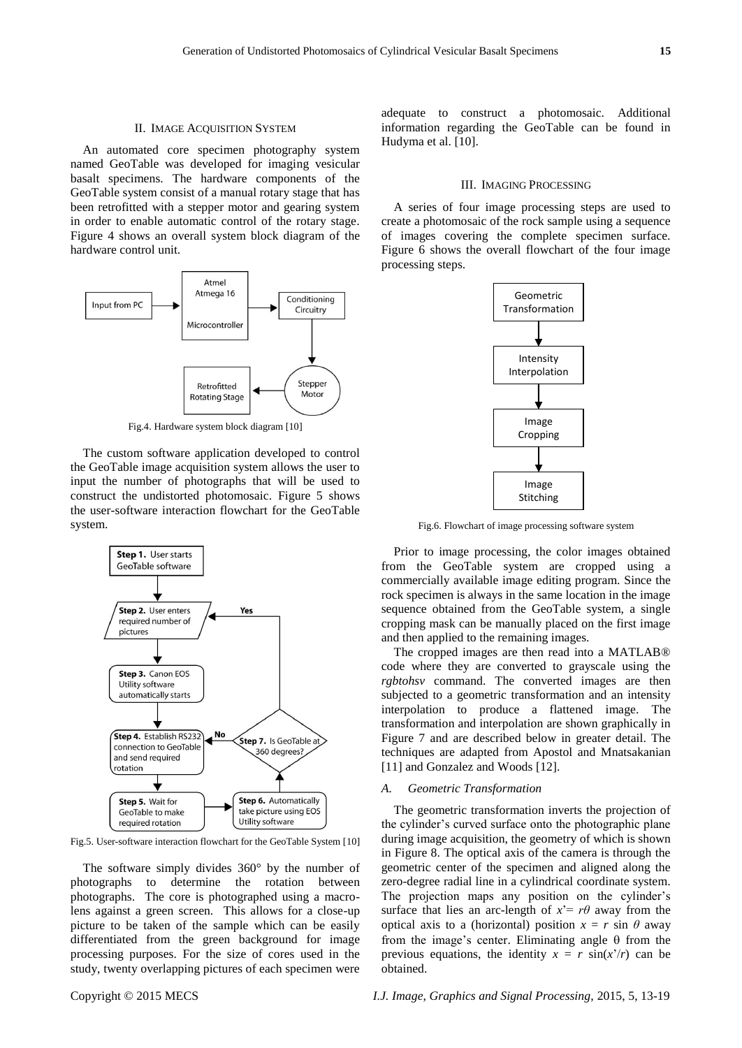#### II. IMAGE ACQUISITION SYSTEM

An automated core specimen photography system named GeoTable was developed for imaging vesicular basalt specimens. The hardware components of the GeoTable system consist of a manual rotary stage that has been retrofitted with a stepper motor and gearing system in order to enable automatic control of the rotary stage. Figure 4 shows an overall system block diagram of the hardware control unit.



Fig.4. Hardware system block diagram [10]

The custom software application developed to control the GeoTable image acquisition system allows the user to input the number of photographs that will be used to construct the undistorted photomosaic. Figure 5 shows the user-software interaction flowchart for the GeoTable system.



Fig.5. User-software interaction flowchart for the GeoTable System [10]

The software simply divides 360° by the number of photographs to determine the rotation between photographs. The core is photographed using a macrolens against a green screen. This allows for a close-up picture to be taken of the sample which can be easily differentiated from the green background for image processing purposes. For the size of cores used in the study, twenty overlapping pictures of each specimen were

adequate to construct a photomosaic. Additional information regarding the GeoTable can be found in Hudyma et al. [10].

#### III. IMAGING PROCESSING

A series of four image processing steps are used to create a photomosaic of the rock sample using a sequence of images covering the complete specimen surface. Figure 6 shows the overall flowchart of the four image processing steps.



Fig.6. Flowchart of image processing software system

Prior to image processing, the color images obtained from the GeoTable system are cropped using a commercially available image editing program. Since the rock specimen is always in the same location in the image sequence obtained from the GeoTable system, a single cropping mask can be manually placed on the first image and then applied to the remaining images.

The cropped images are then read into a MATLAB® code where they are converted to grayscale using the *rgbtohsv* command. The converted images are then subjected to a geometric transformation and an intensity interpolation to produce a flattened image. The transformation and interpolation are shown graphically in Figure 7 and are described below in greater detail. The techniques are adapted from Apostol and Mnatsakanian [11] and Gonzalez and Woods [12].

#### *A. Geometric Transformation*

The geometric transformation inverts the projection of the cylinder's curved surface onto the photographic plane during image acquisition, the geometry of which is shown in Figure 8. The optical axis of the camera is through the geometric center of the specimen and aligned along the zero-degree radial line in a cylindrical coordinate system. The projection maps any position on the cylinder's surface that lies an arc-length of  $x' = r\theta$  away from the optical axis to a (horizontal) position  $x = r \sin \theta$  away from the image's center. Eliminating angle  $\theta$  from the previous equations, the identity  $x = r \sin(x'/r)$  can be obtained.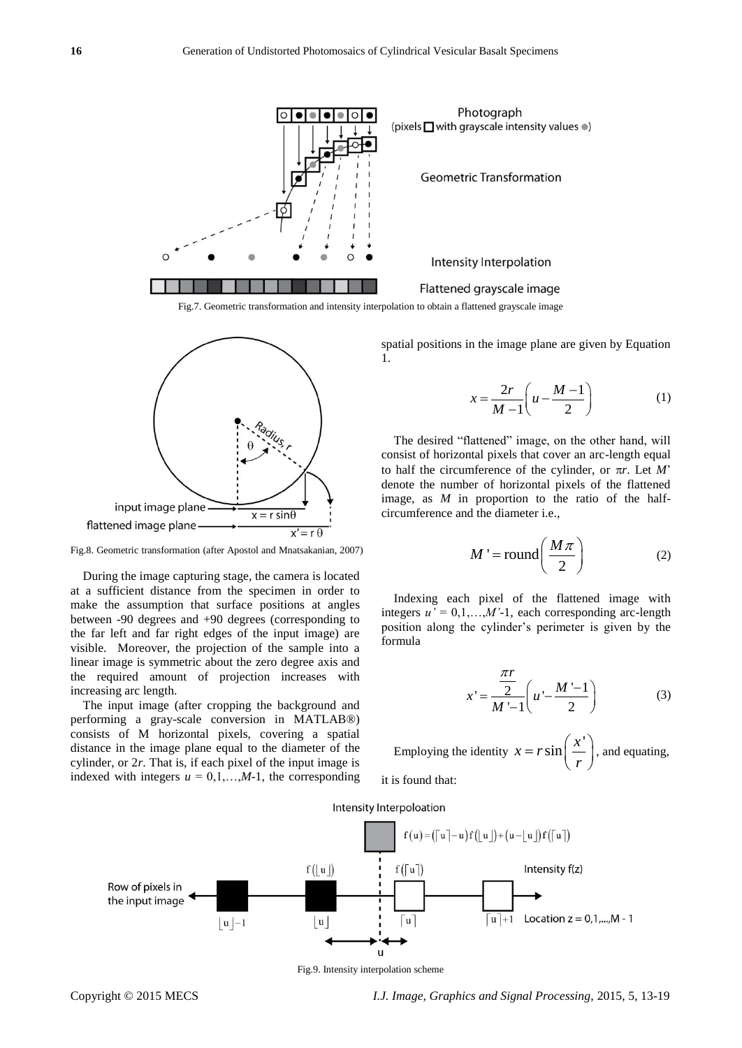

Fig.7. Geometric transformation and intensity interpolation to obtain a flattened grayscale image



Fig.8. Geometric transformation (after Apostol and Mnatsakanian, 2007)

During the image capturing stage, the camera is located at a sufficient distance from the specimen in order to make the assumption that surface positions at angles between -90 degrees and +90 degrees (corresponding to the far left and far right edges of the input image) are visible. Moreover, the projection of the sample into a linear image is symmetric about the zero degree axis and the required amount of projection increases with increasing arc length.

The input image (after cropping the background and performing a gray-scale conversion in MATLAB®) consists of M horizontal pixels, covering a spatial distance in the image plane equal to the diameter of the cylinder, or 2*r*. That is, if each pixel of the input image is indexed with integers  $u = 0,1,...,M-1$ , the corresponding spatial positions in the image plane are given by Equation 1.

$$
x = \frac{2r}{M-1} \left( u - \frac{M-1}{2} \right) \tag{1}
$$

The desired "flattened" image, on the other hand, will consist of horizontal pixels that cover an arc-length equal to half the circumference of the cylinder, or  $\pi r$ . Let *M*' denote the number of horizontal pixels of the flattened image, as *M* in proportion to the ratio of the halfcircumference and the diameter i.e.,

$$
M' = \text{round}\left(\frac{M\pi}{2}\right) \tag{2}
$$

Indexing each pixel of the flattened image with integers  $u' = 0,1,...,M'$ -1, each corresponding arc-length position along the cylinder's perimeter is given by the formula

$$
x' = \frac{\frac{\pi r}{2}}{M' - 1} \left( u' - \frac{M' - 1}{2} \right) \tag{3}
$$

Employing the identity  $x = r \sin \left( \frac{x'}{r} \right)$  $x = r \sin \left( \frac{x}{r} \right)$ *r*  $= r \sin\left(\frac{x'}{r}\right)$ , and equating,

it is found that:

Intensity Interpoloation



Fig.9. Intensity interpolation scheme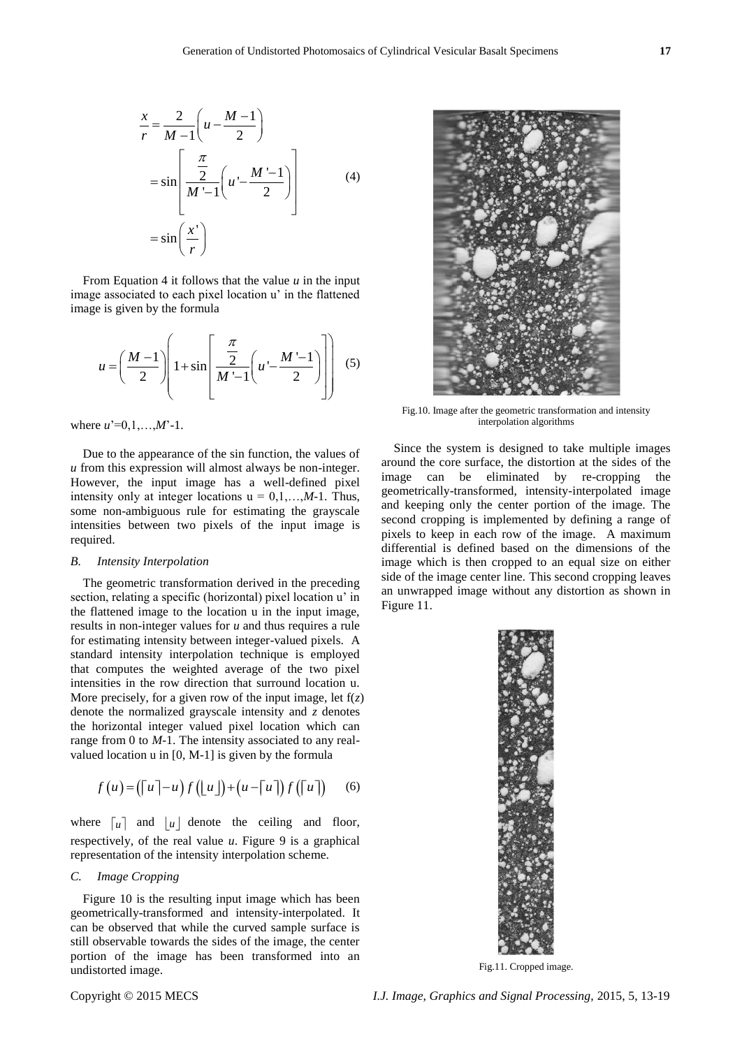$$
\frac{x}{r} = \frac{2}{M-1} \left( u - \frac{M-1}{2} \right)
$$

$$
= \sin \left[ \frac{\frac{\pi}{2}}{M' - 1} \left( u' - \frac{M' - 1}{2} \right) \right]
$$
(4)
$$
= \sin \left( \frac{x'}{r} \right)
$$

From Equation 4 it follows that the value *u* in the input image associated to each pixel location u' in the flattened image is given by the formula

$$
u = \left(\frac{M-1}{2}\right) \left(1 + \sin\left[\frac{\frac{\pi}{2}}{M-1}\left(u - \frac{M-1}{2}\right)\right]\right) \tag{5}
$$

where  $u' = 0, 1, ..., M'$ -1.

Due to the appearance of the sin function, the values of *u* from this expression will almost always be non-integer. However, the input image has a well-defined pixel intensity only at integer locations  $u = 0,1,...,M-1$ . Thus, some non-ambiguous rule for estimating the grayscale intensities between two pixels of the input image is required.

#### *B. Intensity Interpolation*

The geometric transformation derived in the preceding section, relating a specific (horizontal) pixel location u' in the flattened image to the location u in the input image, results in non-integer values for *u* and thus requires a rule for estimating intensity between integer-valued pixels. A standard intensity interpolation technique is employed that computes the weighted average of the two pixel intensities in the row direction that surround location u. More precisely, for a given row of the input image, let  $f(z)$ denote the normalized grayscale intensity and *z* denotes the horizontal integer valued pixel location which can range from 0 to *M*-1. The intensity associated to any realvalued location u in [0, M-1] is given by the formula

$$
f(u) = (\lceil u \rceil - u) f([\lfloor u \rfloor) + (u - \lceil u \rceil) f([\lceil u \rceil)) \tag{6}
$$

where  $\begin{bmatrix} u \end{bmatrix}$  and  $\begin{bmatrix} u \end{bmatrix}$  denote the ceiling and floor, respectively, of the real value *u*. Figure 9 is a graphical representation of the intensity interpolation scheme.

#### *C. Image Cropping*

Figure 10 is the resulting input image which has been geometrically-transformed and intensity-interpolated. It can be observed that while the curved sample surface is still observable towards the sides of the image, the center portion of the image has been transformed into an undistorted image.



Fig.10. Image after the geometric transformation and intensity interpolation algorithms

Since the system is designed to take multiple images around the core surface, the distortion at the sides of the image can be eliminated by re-cropping the geometrically-transformed, intensity-interpolated image and keeping only the center portion of the image. The second cropping is implemented by defining a range of pixels to keep in each row of the image. A maximum differential is defined based on the dimensions of the image which is then cropped to an equal size on either side of the image center line. This second cropping leaves an unwrapped image without any distortion as shown in Figure 11.



Fig.11. Cropped image.

Copyright © 2015 MECS *I.J. Image, Graphics and Signal Processing,* 2015, 5, 13-19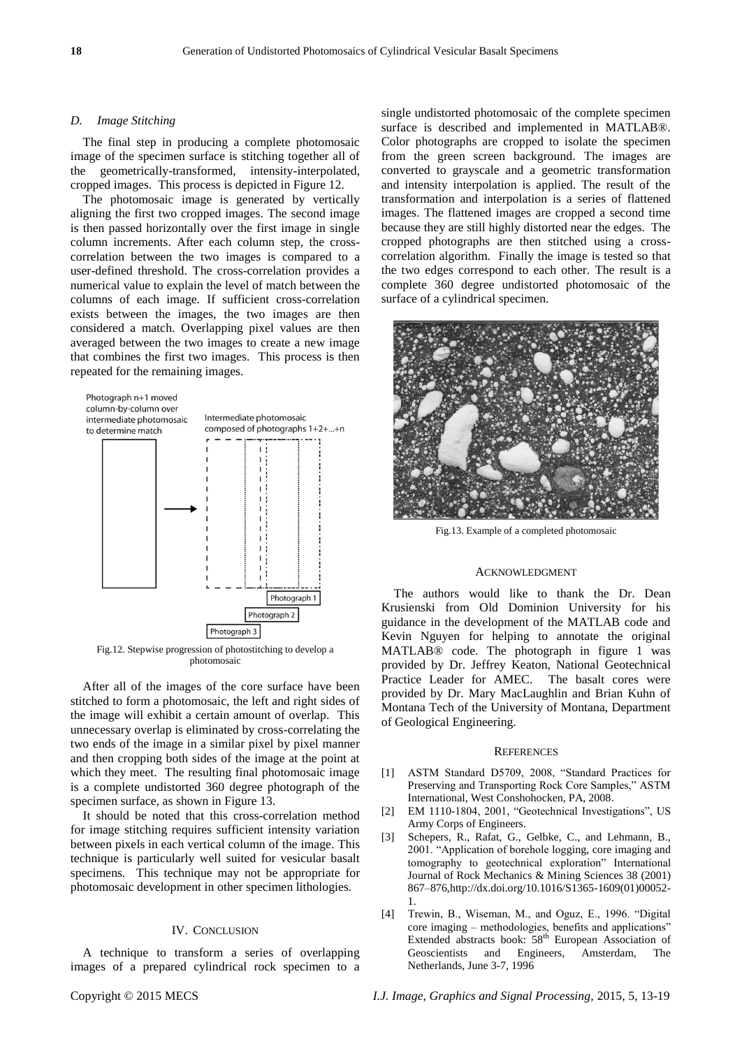#### *D. Image Stitching*

The final step in producing a complete photomosaic image of the specimen surface is stitching together all of the geometrically-transformed, intensity-interpolated, cropped images. This process is depicted in Figure 12.

The photomosaic image is generated by vertically aligning the first two cropped images. The second image is then passed horizontally over the first image in single column increments. After each column step, the crosscorrelation between the two images is compared to a user-defined threshold. The cross-correlation provides a numerical value to explain the level of match between the columns of each image. If sufficient cross-correlation exists between the images, the two images are then considered a match. Overlapping pixel values are then averaged between the two images to create a new image that combines the first two images. This process is then repeated for the remaining images.



Fig.12. Stepwise progression of photostitching to develop a photomosaic

After all of the images of the core surface have been stitched to form a photomosaic, the left and right sides of the image will exhibit a certain amount of overlap. This unnecessary overlap is eliminated by cross-correlating the two ends of the image in a similar pixel by pixel manner and then cropping both sides of the image at the point at which they meet. The resulting final photomosaic image is a complete undistorted 360 degree photograph of the specimen surface, as shown in Figure 13.

It should be noted that this cross-correlation method for image stitching requires sufficient intensity variation between pixels in each vertical column of the image. This technique is particularly well suited for vesicular basalt specimens. This technique may not be appropriate for photomosaic development in other specimen lithologies.

#### IV. CONCLUSION

A technique to transform a series of overlapping images of a prepared cylindrical rock specimen to a single undistorted photomosaic of the complete specimen surface is described and implemented in MATLAB®. Color photographs are cropped to isolate the specimen from the green screen background. The images are converted to grayscale and a geometric transformation and intensity interpolation is applied. The result of the transformation and interpolation is a series of flattened images. The flattened images are cropped a second time because they are still highly distorted near the edges. The cropped photographs are then stitched using a crosscorrelation algorithm. Finally the image is tested so that the two edges correspond to each other. The result is a complete 360 degree undistorted photomosaic of the surface of a cylindrical specimen.



Fig.13. Example of a completed photomosaic

#### ACKNOWLEDGMENT

The authors would like to thank the Dr. Dean Krusienski from Old Dominion University for his guidance in the development of the MATLAB code and Kevin Nguyen for helping to annotate the original MATLAB® code. The photograph in figure 1 was provided by Dr. Jeffrey Keaton, National Geotechnical Practice Leader for AMEC. The basalt cores were provided by Dr. Mary MacLaughlin and Brian Kuhn of Montana Tech of the University of Montana, Department of Geological Engineering.

#### **REFERENCES**

- [1] ASTM Standard D5709, 2008, "Standard Practices for Preserving and Transporting Rock Core Samples," ASTM International, West Conshohocken, PA, 2008.
- [2] EM 1110-1804, 2001, "Geotechnical Investigations", US Army Corps of Engineers.
- [3] Schepers, R., Rafat, G., Gelbke, C., and Lehmann, B., 2001. "Application of borehole logging, core imaging and tomography to geotechnical exploration" International Journal of Rock Mechanics & Mining Sciences 38 (2001) 867–876,http://dx.doi.org/10.1016/S1365-1609(01)00052- 1.
- [4] Trewin, B., Wiseman, M., and Oguz, E., 1996. "Digital core imaging – methodologies, benefits and applications" Extended abstracts book:  $58<sup>th</sup>$  European Association of Geoscientists and Engineers, Amsterdam, The Netherlands, June 3-7, 1996